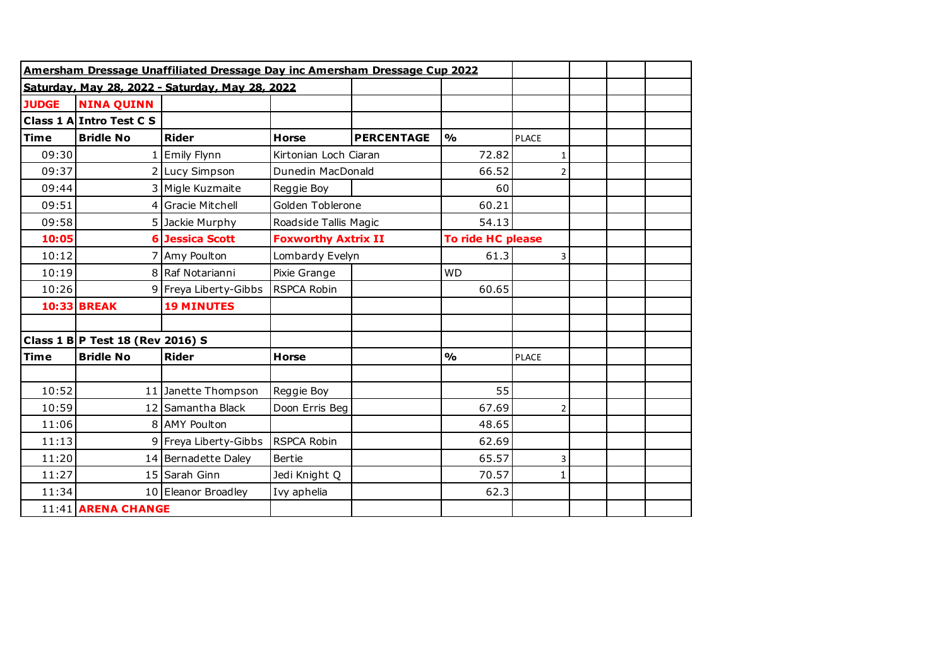|                    | Amersham Dressage Unaffiliated Dressage Day inc Amersham Dressage Cup 2022 |                                                 |                            |                   |                   |                |  |  |
|--------------------|----------------------------------------------------------------------------|-------------------------------------------------|----------------------------|-------------------|-------------------|----------------|--|--|
|                    |                                                                            | Saturdav. Mav 28. 2022 - Saturdav. Mav 28. 2022 |                            |                   |                   |                |  |  |
| <b>JUDGE</b>       | <b>NINA QUINN</b>                                                          |                                                 |                            |                   |                   |                |  |  |
|                    | Class 1 A Intro Test C S                                                   |                                                 |                            |                   |                   |                |  |  |
| <b>Time</b>        | <b>Bridle No</b>                                                           | <b>Rider</b>                                    | <b>Horse</b>               | <b>PERCENTAGE</b> | $\frac{1}{2}$     | <b>PLACE</b>   |  |  |
| 09:30              |                                                                            | <b>Emily Flynn</b>                              | Kirtonian Loch Ciaran      |                   | 72.82             | $\mathbf{1}$   |  |  |
| 09:37              |                                                                            | 2 Lucy Simpson                                  | Dunedin MacDonald          |                   | 66.52             | $\overline{2}$ |  |  |
| 09:44              |                                                                            | 3 Migle Kuzmaite                                | Reggie Boy                 |                   | 60                |                |  |  |
| 09:51              | 4                                                                          | <b>Gracie Mitchell</b>                          | Golden Toblerone           |                   | 60.21             |                |  |  |
| 09:58              |                                                                            | 5 Jackie Murphy                                 | Roadside Tallis Magic      |                   | 54.13             |                |  |  |
| 10:05              |                                                                            | <b>6 Jessica Scott</b>                          | <b>Foxworthy Axtrix II</b> |                   | To ride HC please |                |  |  |
| 10:12              |                                                                            | 7 Amy Poulton                                   | Lombardy Evelyn            |                   | 61.3              | 3              |  |  |
| 10:19              |                                                                            | 8 Raf Notarianni                                | Pixie Grange               |                   | <b>WD</b>         |                |  |  |
| 10:26              |                                                                            | 9 Freya Liberty-Gibbs                           | <b>RSPCA Robin</b>         |                   | 60.65             |                |  |  |
|                    | <b>10:33 BREAK</b>                                                         | <b>19 MINUTES</b>                               |                            |                   |                   |                |  |  |
|                    |                                                                            |                                                 |                            |                   |                   |                |  |  |
|                    | Class 1 B P Test 18 (Rev 2016) S                                           |                                                 |                            |                   |                   |                |  |  |
| <b>Time</b>        | <b>Bridle No</b>                                                           | <b>Rider</b>                                    | <b>Horse</b>               |                   | $\frac{1}{2}$     | <b>PLACE</b>   |  |  |
|                    |                                                                            |                                                 |                            |                   |                   |                |  |  |
| 10:52              | 11                                                                         | Janette Thompson                                | Reggie Boy                 |                   | 55                |                |  |  |
| 10:59              |                                                                            | 12 Samantha Black                               | Doon Erris Beg             |                   | 67.69             | $\overline{2}$ |  |  |
| 11:06              |                                                                            | 8 AMY Poulton                                   |                            |                   | 48.65             |                |  |  |
| 11:13              |                                                                            | 9 Freya Liberty-Gibbs                           | <b>RSPCA Robin</b>         |                   | 62.69             |                |  |  |
| 11:20              |                                                                            | 14 Bernadette Daley                             | Bertie                     |                   | 65.57             | 3              |  |  |
| 11:27              |                                                                            | 15 Sarah Ginn                                   | Jedi Knight Q              |                   | 70.57             | $\mathbf{1}$   |  |  |
| 11:34              |                                                                            | 10 Eleanor Broadley                             | Ivy aphelia                |                   | 62.3              |                |  |  |
| 11:41 ARENA CHANGE |                                                                            |                                                 |                            |                   |                   |                |  |  |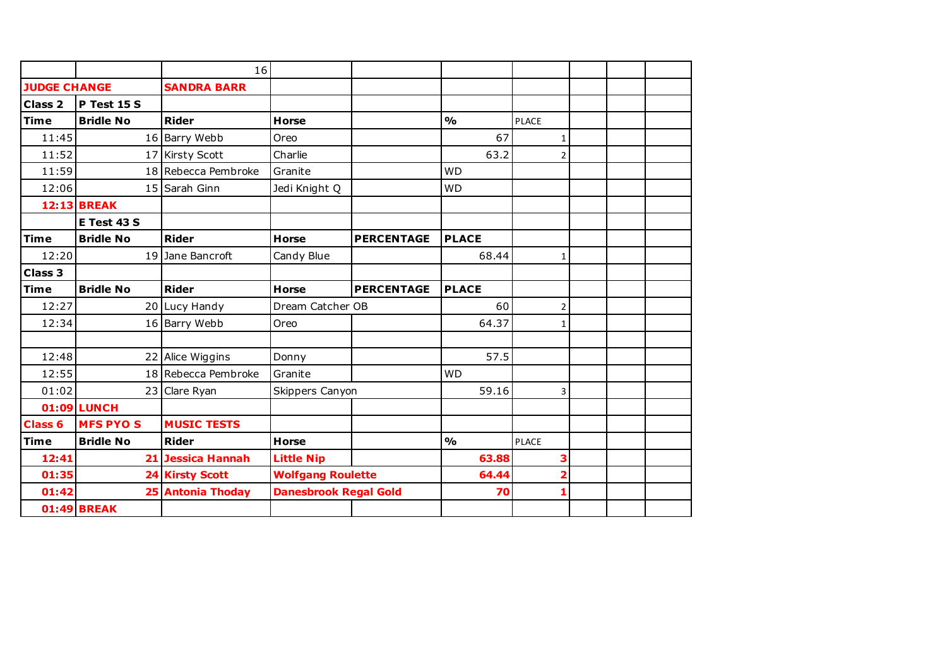|                     |                    | 16                     |                              |                   |               |                         |  |  |
|---------------------|--------------------|------------------------|------------------------------|-------------------|---------------|-------------------------|--|--|
| <b>JUDGE CHANGE</b> |                    | <b>SANDRA BARR</b>     |                              |                   |               |                         |  |  |
| Class <sub>2</sub>  | P Test 15 S        |                        |                              |                   |               |                         |  |  |
| <b>Time</b>         | <b>Bridle No</b>   | <b>Rider</b>           | <b>Horse</b>                 |                   | $\frac{1}{2}$ | <b>PLACE</b>            |  |  |
| 11:45               |                    | 16 Barry Webb          | Oreo                         |                   | 67            | $\mathbf{1}$            |  |  |
| 11:52               |                    | 17 Kirsty Scott        | Charlie                      |                   | 63.2          | $\overline{2}$          |  |  |
| 11:59               |                    | 18 Rebecca Pembroke    | Granite                      |                   | <b>WD</b>     |                         |  |  |
| 12:06               |                    | 15 Sarah Ginn          | Jedi Knight Q                |                   | <b>WD</b>     |                         |  |  |
|                     | <b>12:13 BREAK</b> |                        |                              |                   |               |                         |  |  |
|                     | E Test 43 S        |                        |                              |                   |               |                         |  |  |
| <b>Time</b>         | <b>Bridle No</b>   | <b>Rider</b>           | <b>Horse</b>                 | <b>PERCENTAGE</b> | <b>PLACE</b>  |                         |  |  |
| 12:20               |                    | 19 Jane Bancroft       | Candy Blue                   |                   | 68.44         | $\mathbf{1}$            |  |  |
| <b>Class 3</b>      |                    |                        |                              |                   |               |                         |  |  |
| <b>Time</b>         | <b>Bridle No</b>   | <b>Rider</b>           | <b>Horse</b>                 | <b>PERCENTAGE</b> | <b>PLACE</b>  |                         |  |  |
| 12:27               |                    | 20 Lucy Handy          | Dream Catcher OB             |                   | 60            | $\overline{2}$          |  |  |
| 12:34               |                    | 16 Barry Webb          | Oreo                         |                   | 64.37         | $\mathbf{1}$            |  |  |
|                     |                    |                        |                              |                   |               |                         |  |  |
| 12:48               | 22                 | Alice Wiggins          | Donny                        |                   | 57.5          |                         |  |  |
| 12:55               |                    | 18 Rebecca Pembroke    | Granite                      |                   | <b>WD</b>     |                         |  |  |
| 01:02               |                    | 23 Clare Ryan          | Skippers Canyon              |                   | 59.16         | 3                       |  |  |
|                     | <b>01:09 LUNCH</b> |                        |                              |                   |               |                         |  |  |
| <b>Class 6</b>      | <b>MFS PYOS</b>    | <b>MUSIC TESTS</b>     |                              |                   |               |                         |  |  |
| <b>Time</b>         | <b>Bridle No</b>   | <b>Rider</b>           | <b>Horse</b>                 |                   | $\frac{1}{2}$ | <b>PLACE</b>            |  |  |
| 12:41               |                    | 21 Jessica Hannah      | <b>Little Nip</b>            |                   | 63.88         | 3                       |  |  |
| 01:35               |                    | <b>24 Kirsty Scott</b> | <b>Wolfgang Roulette</b>     |                   | 64.44         | $\overline{\mathbf{2}}$ |  |  |
| 01:42               |                    | 25 Antonia Thoday      | <b>Danesbrook Regal Gold</b> |                   | 70            | 1                       |  |  |
|                     | <b>01:49 BREAK</b> |                        |                              |                   |               |                         |  |  |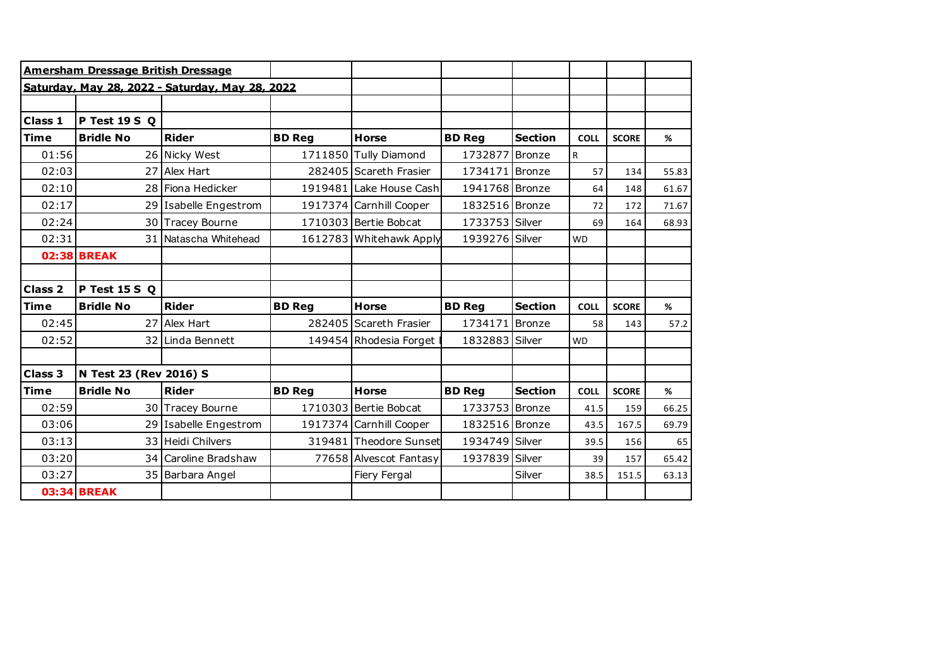|                | Amersham Dressage British Dressage |                                                 |               |                         |                |                |             |              |       |
|----------------|------------------------------------|-------------------------------------------------|---------------|-------------------------|----------------|----------------|-------------|--------------|-------|
|                |                                    | Saturday, May 28, 2022 - Saturday, May 28, 2022 |               |                         |                |                |             |              |       |
|                |                                    |                                                 |               |                         |                |                |             |              |       |
| Class 1        | P Test 19 S Q                      |                                                 |               |                         |                |                |             |              |       |
| <b>Time</b>    | <b>Bridle No</b>                   | <b>Rider</b>                                    | <b>BD Reg</b> | <b>Horse</b>            | <b>BD Reg</b>  | <b>Section</b> | <b>COLL</b> | <b>SCORE</b> | %     |
| 01:56          |                                    | 26 Nicky West                                   |               | 1711850 Tully Diamond   | 1732877 Bronze |                | R           |              |       |
| 02:03          | 27                                 | Alex Hart                                       |               | 282405 Scareth Frasier  | 1734171 Bronze |                | 57          | 134          | 55.83 |
| 02:10          |                                    | 28 Fiona Hedicker                               |               | 1919481 Lake House Cash | 1941768 Bronze |                | 64          | 148          | 61.67 |
| 02:17          | 29                                 | Isabelle Engestrom                              |               | 1917374 Carnhill Cooper | 1832516 Bronze |                | 72          | 172          | 71.67 |
| 02:24          |                                    | 30 Tracey Bourne                                |               | 1710303 Bertie Bobcat   | 1733753 Silver |                | 69          | 164          | 68.93 |
| 02:31          |                                    | 31 Natascha Whitehead                           |               | 1612783 Whitehawk Apply | 1939276 Silver |                | <b>WD</b>   |              |       |
|                | <b>02:38 BREAK</b>                 |                                                 |               |                         |                |                |             |              |       |
|                |                                    |                                                 |               |                         |                |                |             |              |       |
| <b>Class 2</b> | P Test 15 S Q                      |                                                 |               |                         |                |                |             |              |       |
| <b>Time</b>    | <b>Bridle No</b>                   | <b>Rider</b>                                    | <b>BD Reg</b> | <b>Horse</b>            | <b>BD Reg</b>  | <b>Section</b> | <b>COLL</b> | <b>SCORE</b> | %     |
| 02:45          | 27                                 | Alex Hart                                       |               | 282405 Scareth Frasier  | 1734171        | Bronze         | 58          | 143          | 57.2  |
| 02:52          |                                    | 32 Linda Bennett                                |               | 149454 Rhodesia Forget  | 1832883 Silver |                | <b>WD</b>   |              |       |
|                |                                    |                                                 |               |                         |                |                |             |              |       |
| <b>Class 3</b> | N Test 23 (Rev 2016) S             |                                                 |               |                         |                |                |             |              |       |
| <b>Time</b>    | <b>Bridle No</b>                   | <b>Rider</b>                                    | <b>BD Reg</b> | <b>Horse</b>            | <b>BD Req</b>  | <b>Section</b> | <b>COLL</b> | <b>SCORE</b> | %     |
| 02:59          |                                    | 30 Tracey Bourne                                |               | 1710303 Bertie Bobcat   | 1733753 Bronze |                | 41.5        | 159          | 66.25 |
| 03:06          |                                    | 29 Isabelle Engestrom                           |               | 1917374 Carnhill Cooper | 1832516 Bronze |                | 43.5        | 167.5        | 69.79 |
| 03:13          |                                    | 33 Heidi Chilvers                               |               | 319481 Theodore Sunset  | 1934749 Silver |                | 39.5        | 156          | 65    |
|                |                                    |                                                 |               |                         |                |                |             |              |       |
| 03:20          |                                    | 34 Caroline Bradshaw                            |               | 77658 Alvescot Fantasy  | 1937839 Silver |                | 39          | 157          | 65.42 |
| 03:27          |                                    | 35 Barbara Angel                                |               | Fiery Fergal            |                | Silver         | 38.5        | 151.5        | 63.13 |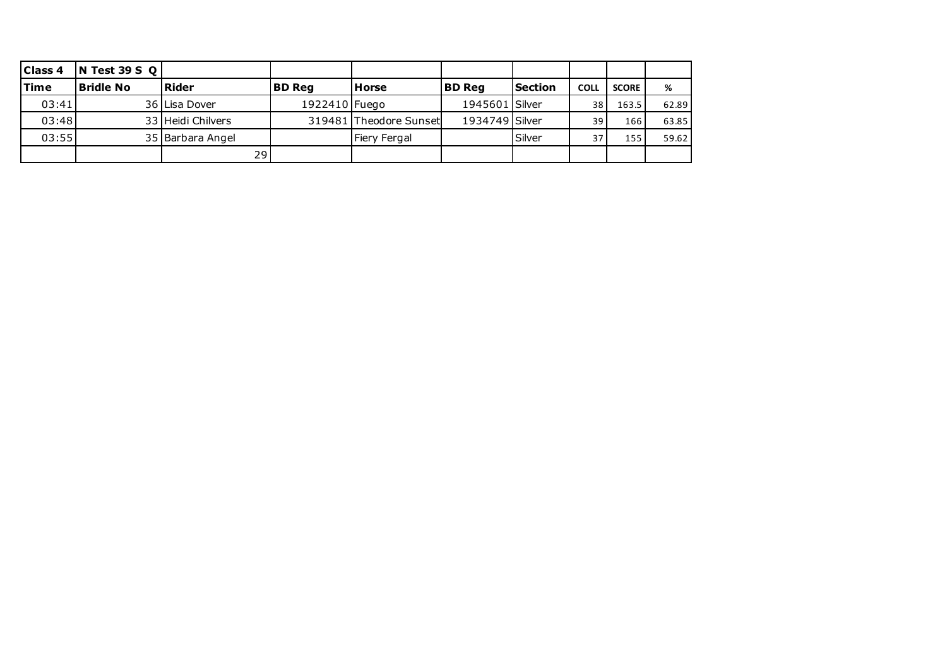| Class <sub>4</sub> | $\sqrt{N}$ Test 39 S Q |                   |               |                        |                |                |             |              |       |
|--------------------|------------------------|-------------------|---------------|------------------------|----------------|----------------|-------------|--------------|-------|
| lTime              | Bridle No              | <b>Rider</b>      | <b>BD Rea</b> | <b>Horse</b>           | <b>BD Rea</b>  | <b>Section</b> | <b>COLL</b> | <b>SCORE</b> | %     |
| 03:41              |                        | 36 Lisa Dover     | 1922410 Fuego |                        | 1945601 Silver |                | 38          | 163.5        | 62.89 |
| 03:48              |                        | 33 Heidi Chilvers |               | 319481 Theodore Sunset | 1934749 Silver |                | 39          | 166          | 63.85 |
| 03:55              |                        | 35 Barbara Angel  |               | Fiery Fergal           |                | Silver         | 37          | 155          | 59.62 |
|                    |                        | 29                |               |                        |                |                |             |              |       |